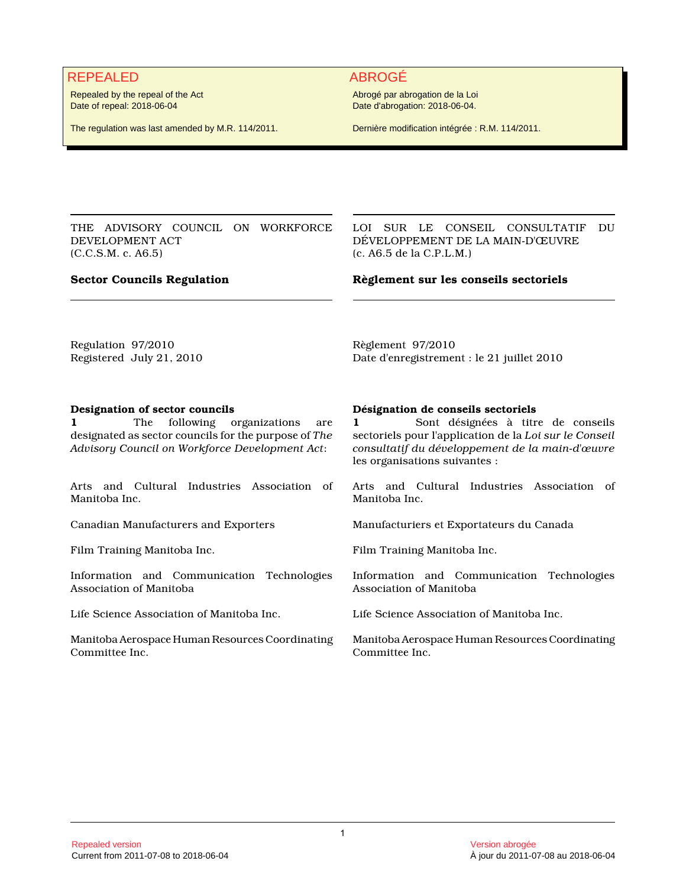# REPEALED ABROGÉ

Repealed by the repeal of the Act Date of repeal: 2018-06-04

The regulation was last amended by M.R. 114/2011.

Abrogé par abrogation de la Loi Date d'abrogation: 2018-06-04.

Dernière modification intégrée : R.M. 114/2011.

THE ADVISORY COUNCIL ON WORKFORCE DEVELOPMENT ACT (C.C.S.M. c. A6.5)

LOI SUR LE CONSEIL CONSULTATIF DU DÉVELOPPEMENT DE LA MAIN-D'ŒUVRE (c. A6.5 de la C.P.L.M.)

### **Sector Councils Regulation**

**Règlement sur les conseils sectoriels**

Regulation 97/2010 Registered July 21, 2010 Règlement 97/2010 Date d'enregistrement : le 21 juillet 2010

### **Designation of sector councils**

**1** The following organizations are designated as sector councils for the purpose of *The Advisory Council on Workforce Development Act*:

Arts and Cultural Industries Association of Manitoba Inc.

Information and Communication Technologies Association of Manitoba

Life Science Association of Manitoba Inc. Life Science Association of Manitoba Inc.

Manitoba Aerospace Human Resources Coordinating Committee Inc.

#### **Désignation de conseils sectoriels**

**1** Sont désignées à titre de conseils sectoriels pour l'application de la *Loi sur le Conseil consultatif du développement de la main-d'œuvre* les organisations suivantes :

Arts and Cultural Industries Association of Manitoba Inc.

Canadian Manufacturers and Exporters Manufacturiers et Exportateurs du Canada

Film Training Manitoba Inc. The South of Training Manitoba Inc.

Information and Communication Technologies Association of Manitoba

Manitoba Aerospace Human Resources Coordinating Committee Inc.